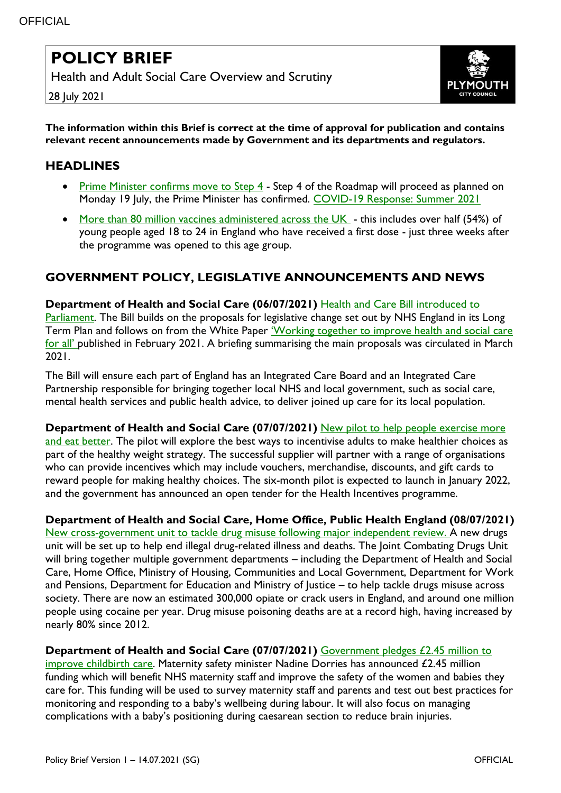## **POLICY BRIEF**

Health and Adult Social Care Overview and Scrutiny



28 July 2021

**The information within this Brief is correct at the time of approval for publication and contains relevant recent announcements made by Government and its departments and regulators.**

## **HEADLINES**

- Prime Minister confirms move to Step  $\frac{4}{1}$  Step 4 of the Roadmap will proceed as planned on Monday 19 July, the Prime Minister has confirmed. [COVID-19 Response: Summer 2021](https://www.gov.uk/government/publications/covid-19-response-summer-2021-roadmap?utm_medium=email&utm_campaign=govuk-notifications&utm_source=c217a1a9-b34f-4264-b533-982852861c54&utm_content=immediately)
- [More than 80 million vaccines administered across the UK](https://www.gov.uk/government/news/more-than-80-million-vaccines-administered-across-the-uk?utm_medium=email&utm_campaign=govuk-notifications&utm_source=615fa855-0029-49b7-96e5-fdbf9b2e7011&utm_content=immediately) this includes over half (54%) of young people aged 18 to 24 in England who have received a first dose - just three weeks after the programme was opened to this age group.

## **GOVERNMENT POLICY, LEGISLATIVE ANNOUNCEMENTS AND NEWS**

**Department of Health and Social Care (06/07/2021)** [Health and Care Bill introduced to](https://www.gov.uk/government/news/health-and-care-bill-introduced-to-parliament?utm_medium=email&utm_campaign=govuk-notifications&utm_source=27045589-baa2-4f45-87fb-06a2229a5b45&utm_content=immediately)  [Parliament.](https://www.gov.uk/government/news/health-and-care-bill-introduced-to-parliament?utm_medium=email&utm_campaign=govuk-notifications&utm_source=27045589-baa2-4f45-87fb-06a2229a5b45&utm_content=immediately) The Bill builds on the proposals for legislative change set out by NHS England in its Long Term Plan and follows on from the White Paper 'Working together to improve health and social care [for all'](https://www.gov.uk/government/publications/working-together-to-improve-health-and-social-care-for-all?utm_medium=email&utm_campaign=govuk-notifications&utm_source=d7138b54-4fd7-447b-85f1-6cef375b4a7c&utm_content=immediately) published in February 2021. A briefing summarising the main proposals was circulated in March 2021.

The Bill will ensure each part of England has an Integrated Care Board and an Integrated Care Partnership responsible for bringing together local NHS and local government, such as social care, mental health services and public health advice, to deliver joined up care for its local population.

**Department of Health and Social Care (07/07/2021)** [New pilot to help people exercise more](https://www.gov.uk/government/news/new-pilot-to-help-people-exercise-more-and-eat-better?utm_medium=email&utm_campaign=govuk-notifications&utm_source=55dc4406-3385-457a-9a95-557a433d9449&utm_content=immediately)  [and eat better.](https://www.gov.uk/government/news/new-pilot-to-help-people-exercise-more-and-eat-better?utm_medium=email&utm_campaign=govuk-notifications&utm_source=55dc4406-3385-457a-9a95-557a433d9449&utm_content=immediately) The pilot will explore the best ways to incentivise adults to make healthier choices as part of the healthy weight strategy. The successful supplier will partner with a range of organisations who can provide incentives which may include vouchers, merchandise, discounts, and gift cards to reward people for making healthy choices. The six-month pilot is expected to launch in January 2022, and the government has announced an open tender for the Health Incentives programme.

**Department of Health and Social Care, Home Office, Public Health England (08/07/2021)**

[New cross-government unit to tackle drug misuse following major independent review.](https://www.gov.uk/government/news/new-cross-government-unit-to-tackle-drug-misuse-following-major-independent-review) A new drugs unit will be set up to help end illegal drug-related illness and deaths. The Joint Combating Drugs Unit will bring together multiple government departments – including the Department of Health and Social Care, Home Office, Ministry of Housing, Communities and Local Government, Department for Work and Pensions, Department for Education and Ministry of Justice – to help tackle drugs misuse across society. There are now an estimated 300,000 opiate or crack users in England, and around one million people using cocaine per year. Drug misuse poisoning deaths are at a record high, having increased by nearly 80% since 2012.

**Department of Health and Social Care (07/07/2021)** [Government pledges £2.45 million to](https://www.gov.uk/government/news/government-pledges-245-million-to-improve-childbirth-care?utm_medium=email&utm_campaign=govuk-notifications&utm_source=3b907088-b378-46db-ad5e-f5e7eae7956e&utm_content=immediately) 

[improve childbirth care.](https://www.gov.uk/government/news/government-pledges-245-million-to-improve-childbirth-care?utm_medium=email&utm_campaign=govuk-notifications&utm_source=3b907088-b378-46db-ad5e-f5e7eae7956e&utm_content=immediately) Maternity safety minister Nadine Dorries has announced £2.45 million funding which will benefit NHS maternity staff and improve the safety of the women and babies they care for. This funding will be used to survey maternity staff and parents and test out best practices for monitoring and responding to a baby's wellbeing during labour. It will also focus on managing complications with a baby's positioning during caesarean section to reduce brain injuries.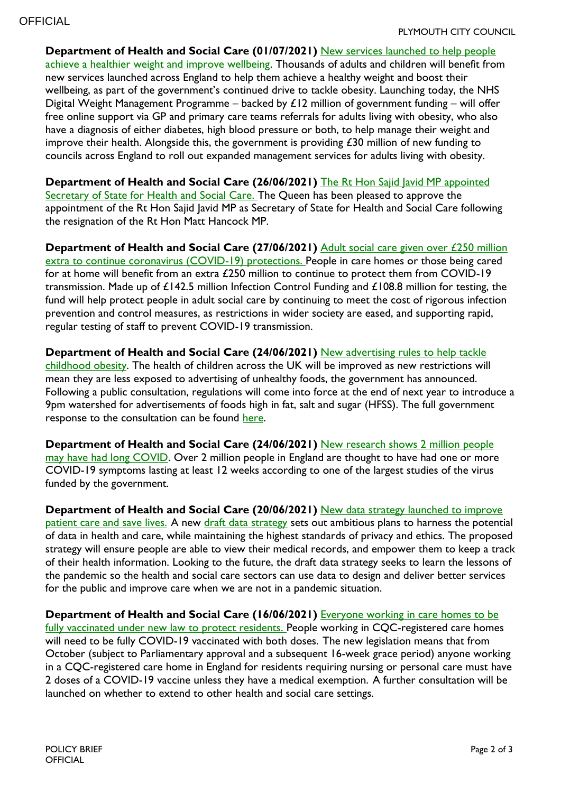**Department of Health and Social Care (01/07/2021)** [New services launched to help people](https://www.gov.uk/government/news/new-services-launched-to-help-people-achieve-a-healthier-weight-and-improve-wellbeing?utm_medium=email&utm_campaign=govuk-notifications&utm_source=945dcfc4-1ca2-45ff-b81f-b0248d7a401d&utm_content=immediately)  [achieve a healthier weight and improve wellbeing.](https://www.gov.uk/government/news/new-services-launched-to-help-people-achieve-a-healthier-weight-and-improve-wellbeing?utm_medium=email&utm_campaign=govuk-notifications&utm_source=945dcfc4-1ca2-45ff-b81f-b0248d7a401d&utm_content=immediately) Thousands of adults and children will benefit from new services launched across England to help them achieve a healthy weight and boost their wellbeing, as part of the government's continued drive to tackle obesity. Launching today, the NHS Digital Weight Management Programme – backed by  $£12$  million of government funding – will offer free online support via GP and primary care teams referrals for adults living with obesity, who also have a diagnosis of either diabetes, high blood pressure or both, to help manage their weight and improve their health. Alongside this, the government is providing £30 million of new funding to councils across England to roll out expanded management services for adults living with obesity.

**Department of Health and Social Care (26/06/2021)** The Rt Hon Sajid Javid MP appointed [Secretary of State for Health and Social Care.](https://www.gov.uk/government/news/the-rt-hon-sajid-javid-mp-appointed-secretary-of-state-for-health-and-social-care) The Queen has been pleased to approve the appointment of the Rt Hon Sajid Javid MP as Secretary of State for Health and Social Care following the resignation of the Rt Hon Matt Hancock MP.

**Department of Health and Social Care (27/06/2021)** [Adult social care given over £250 million](https://eur02.safelinks.protection.outlook.com/?url=https%3A%2F%2Fwww.gov.uk%2Fgovernment%2Fnews%2Fadult-social-care-given-over-250-million-extra-to-continue-coronavirus-covid-19-protections%3Futm_medium%3Demail%26utm_campaign%3Dgovuk-notifications%26utm_source%3D9bcdff1d-4bcc-457d-9030-352dc453f095%26utm_content%3Dimmediately&data=04%7C01%7Clucy.davis%40plymouth.gov.uk%7Ca3c70278e436497cc94108d938f856e9%7Ca9a3c3d1fc0f4943bc2ad73e388cc2df%7C0%7C0%7C637603461518925787%7CUnknown%7CTWFpbGZsb3d8eyJWIjoiMC4wLjAwMDAiLCJQIjoiV2luMzIiLCJBTiI6Ik1haWwiLCJXVCI6Mn0%3D%7C1000&sdata=B9UefUL0nGc%2BHYnSl%2FFIwEfTaPnDGVA7CiAgspZI%2FxA%3D&reserved=0)  [extra to continue coronavirus \(COVID-19\) protections.](https://eur02.safelinks.protection.outlook.com/?url=https%3A%2F%2Fwww.gov.uk%2Fgovernment%2Fnews%2Fadult-social-care-given-over-250-million-extra-to-continue-coronavirus-covid-19-protections%3Futm_medium%3Demail%26utm_campaign%3Dgovuk-notifications%26utm_source%3D9bcdff1d-4bcc-457d-9030-352dc453f095%26utm_content%3Dimmediately&data=04%7C01%7Clucy.davis%40plymouth.gov.uk%7Ca3c70278e436497cc94108d938f856e9%7Ca9a3c3d1fc0f4943bc2ad73e388cc2df%7C0%7C0%7C637603461518925787%7CUnknown%7CTWFpbGZsb3d8eyJWIjoiMC4wLjAwMDAiLCJQIjoiV2luMzIiLCJBTiI6Ik1haWwiLCJXVCI6Mn0%3D%7C1000&sdata=B9UefUL0nGc%2BHYnSl%2FFIwEfTaPnDGVA7CiAgspZI%2FxA%3D&reserved=0) People in care homes or those being cared for at home will benefit from an extra £250 million to continue to protect them from COVID-19 transmission. Made up of £142.5 million Infection Control Funding and £108.8 million for testing, the fund will help protect people in adult social care by continuing to meet the cost of rigorous infection prevention and control measures, as restrictions in wider society are eased, and supporting rapid, regular testing of staff to prevent COVID-19 transmission.

**Department of Health and Social Care (24/06/2021)** [New advertising rules to help tackle](https://www.gov.uk/government/news/new-advertising-rules-to-help-tackle-childhood-obesity?utm_medium=email&utm_campaign=govuk-notifications&utm_source=cc87158f-dd20-4e5c-b24c-4874d255b633&utm_content=immediately)  [childhood obesity.](https://www.gov.uk/government/news/new-advertising-rules-to-help-tackle-childhood-obesity?utm_medium=email&utm_campaign=govuk-notifications&utm_source=cc87158f-dd20-4e5c-b24c-4874d255b633&utm_content=immediately) The health of children across the UK will be improved as new restrictions will mean they are less exposed to advertising of unhealthy foods, the government has announced. Following a public consultation, regulations will come into force at the end of next year to introduce a 9pm watershed for advertisements of foods high in fat, salt and sugar (HFSS). The full government response to the consultation can be found [here.](https://www.gov.uk/government/consultations/further-advertising-restrictions-for-products-high-in-fat-salt-and-sugar)

**Department of Health and Social Care (24/06/2021)** [New research shows 2 million people](https://www.gov.uk/government/news/new-research-shows-2-million-people-may-have-had-long-covid?utm_medium=email&utm_campaign=govuk-notifications&utm_source=1a63c31d-3086-4283-8ccd-6b9cd5e1dd2e&utm_content=immediately)  [may have had long COVID.](https://www.gov.uk/government/news/new-research-shows-2-million-people-may-have-had-long-covid?utm_medium=email&utm_campaign=govuk-notifications&utm_source=1a63c31d-3086-4283-8ccd-6b9cd5e1dd2e&utm_content=immediately) Over 2 million people in England are thought to have had one or more COVID-19 symptoms lasting at least 12 weeks according to one of the largest studies of the virus funded by the government.

**Department of Health and Social Care (20/06/2021)** [New data strategy launched to improve](https://www.gov.uk/government/news/new-data-strategy-launched-to-improve-patient-care-and-save-lives?utm_medium=email&utm_campaign=govuk-notifications&utm_source=07bda4e6-d565-4506-aad2-57a841b90a81&utm_content=immediately)  [patient care and save lives.](https://www.gov.uk/government/news/new-data-strategy-launched-to-improve-patient-care-and-save-lives?utm_medium=email&utm_campaign=govuk-notifications&utm_source=07bda4e6-d565-4506-aad2-57a841b90a81&utm_content=immediately) A new [draft data strategy](https://www.gov.uk/government/publications/data-saves-lives-reshaping-health-and-social-care-with-data-draft) sets out ambitious plans to harness the potential of data in health and care, while maintaining the highest standards of privacy and ethics. The proposed strategy will ensure people are able to view their medical records, and empower them to keep a track of their health information. Looking to the future, the draft data strategy seeks to learn the lessons of the pandemic so the health and social care sectors can use data to design and deliver better services for the public and improve care when we are not in a pandemic situation.

**Department of Health and Social Care (16/06/2021)** [Everyone working in care homes to be](https://www.gov.uk/government/news/everyone-working-in-care-homes-to-be-fully-vaccinated-under-new-law-to-protect-residents)  [fully vaccinated under new law to protect residents.](https://www.gov.uk/government/news/everyone-working-in-care-homes-to-be-fully-vaccinated-under-new-law-to-protect-residents) People working in CQC-registered care homes will need to be fully COVID-19 vaccinated with both doses. The new legislation means that from October (subject to Parliamentary approval and a subsequent 16-week grace period) anyone working in a CQC-registered care home in England for residents requiring nursing or personal care must have 2 doses of a COVID-19 vaccine unless they have a medical exemption. A further consultation will be launched on whether to extend to other health and social care settings.